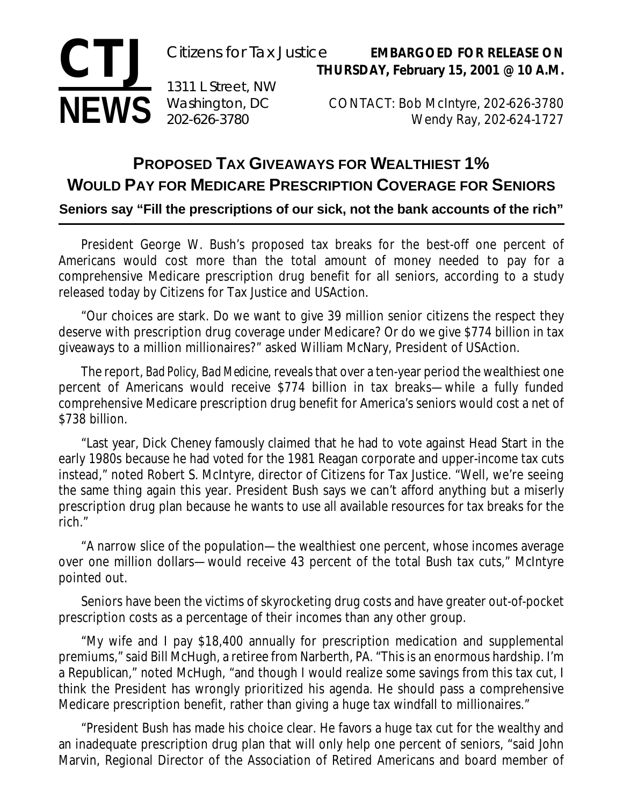## **CTJ NEWS Washington**, DC Citizens for Tax Justice **EMBARGOED FOR RELEASE ON THURSDAY, February 15, 2001 @ 10 A.M.** 1311 L Street, NW CONTACT: Bob McIntyre, 202-626-3780 Wendy Ray, 202-624-1727

## **PROPOSED TAX GIVEAWAYS FOR WEALTHIEST 1% WOULD PAY FOR MEDICARE PRESCRIPTION COVERAGE FOR SENIORS**

**Seniors say "Fill the prescriptions of our sick, not the bank accounts of the rich"**

President George W. Bush's proposed tax breaks for the best-off one percent of Americans would cost more than the total amount of money needed to pay for a comprehensive Medicare prescription drug benefit for all seniors, according to a study released today by Citizens for Tax Justice and USAction.

"Our choices are stark. Do we want to give 39 million senior citizens the respect they deserve with prescription drug coverage under Medicare? Or do we give \$774 billion in tax giveaways to a million millionaires?" asked William McNary, President of USAction.

The report, *Bad Policy, Bad Medicine*, reveals that over a ten-year period the wealthiest one percent of Americans would receive \$774 billion in tax breaks—while a fully funded comprehensive Medicare prescription drug benefit for America's seniors would cost a net of \$738 billion.

"Last year, Dick Cheney famously claimed that he had to vote against Head Start in the early 1980s because he had voted for the 1981 Reagan corporate and upper-income tax cuts instead," noted Robert S. McIntyre, director of Citizens for Tax Justice. "Well, we're seeing the same thing again this year. President Bush says we can't afford anything but a miserly prescription drug plan because he wants to use all available resources for tax breaks for the rich."

"A narrow slice of the population—the wealthiest one percent, whose incomes average over one million dollars—would receive 43 percent of the total Bush tax cuts," McIntyre pointed out.

Seniors have been the victims of skyrocketing drug costs and have greater out-of-pocket prescription costs as a percentage of their incomes than any other group.

"My wife and I pay \$18,400 annually for prescription medication and supplemental premiums," said Bill McHugh, a retiree from Narberth, PA. "This is an enormous hardship. I'm a Republican," noted McHugh, "and though I would realize some savings from this tax cut, I think the President has wrongly prioritized his agenda. He should pass a comprehensive Medicare prescription benefit, rather than giving a huge tax windfall to millionaires."

"President Bush has made his choice clear. He favors a huge tax cut for the wealthy and an inadequate prescription drug plan that will only help one percent of seniors, "said John Marvin, Regional Director of the Association of Retired Americans and board member of